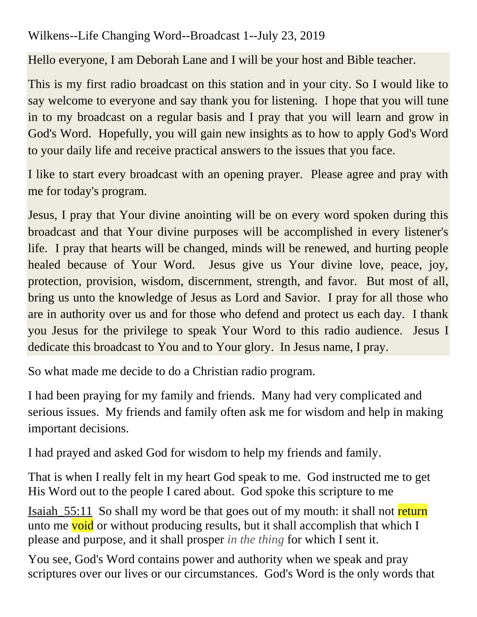Wilkens--Life Changing Word--Broadcast 1--July 23, 2019

Hello everyone, I am Deborah Lane and I will be your host and Bible teacher.

This is my first radio broadcast on this station and in your city. So I would like to say welcome to everyone and say thank you for listening. I hope that you will tune in to my broadcast on a regular basis and I pray that you will learn and grow in God's Word. Hopefully, you will gain new insights as to how to apply God's Word to your daily life and receive practical answers to the issues that you face.

I like to start every broadcast with an opening prayer. Please agree and pray with me for today's program.

Jesus, I pray that Your divine anointing will be on every word spoken during this broadcast and that Your divine purposes will be accomplished in every listener's life. I pray that hearts will be changed, minds will be renewed, and hurting people healed because of Your Word. Jesus give us Your divine love, peace, joy, protection, provision, wisdom, discernment, strength, and favor. But most of all, bring us unto the knowledge of Jesus as Lord and Savior. I pray for all those who are in authority over us and for those who defend and protect us each day. I thank you Jesus for the privilege to speak Your Word to this radio audience. Jesus I dedicate this broadcast to You and to Your glory. In Jesus name, I pray.

So what made me decide to do a Christian radio program.

I had been praying for my family and friends. Many had very complicated and serious issues. My friends and family often ask me for wisdom and help in making important decisions.

I had prayed and asked God for wisdom to help my friends and family.

That is when I really felt in my heart God speak to me. God instructed me to get His Word out to the people I cared about. God spoke this scripture to me

Isaiah 55:11 So shall my word be that goes out of my mouth: it shall not return unto me void or without producing results, but it shall accomplish that which I please and purpose, and it shall prosper *in the thing* for which I sent it.

You see, God's Word contains power and authority when we speak and pray scriptures over our lives or our circumstances. God's Word is the only words that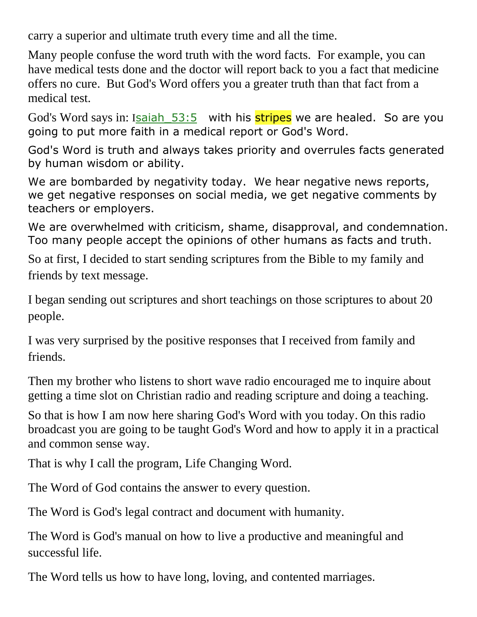carry a superior and ultimate truth every time and all the time.

Many people confuse the word truth with the word facts. For example, you can have medical tests done and the doctor will report back to you a fact that medicine offers no cure. But God's Word offers you a greater truth than that fact from a medical test.

God's Word says in: Isaiah 53:5 with his stripes we are healed. So are you going to put more faith in a medical report or God's Word.

God's Word is truth and always takes priority and overrules facts generated by human wisdom or ability.

We are bombarded by negativity today. We hear negative news reports, we get negative responses on social media, we get negative comments by teachers or employers.

We are overwhelmed with criticism, shame, disapproval, and condemnation. Too many people accept the opinions of other humans as facts and truth.

So at first, I decided to start sending scriptures from the Bible to my family and friends by text message.

I began sending out scriptures and short teachings on those scriptures to about 20 people.

I was very surprised by the positive responses that I received from family and friends.

Then my brother who listens to short wave radio encouraged me to inquire about getting a time slot on Christian radio and reading scripture and doing a teaching.

So that is how I am now here sharing God's Word with you today. On this radio broadcast you are going to be taught God's Word and how to apply it in a practical and common sense way.

That is why I call the program, Life Changing Word.

The Word of God contains the answer to every question.

The Word is God's legal contract and document with humanity.

The Word is God's manual on how to live a productive and meaningful and successful life.

The Word tells us how to have long, loving, and contented marriages.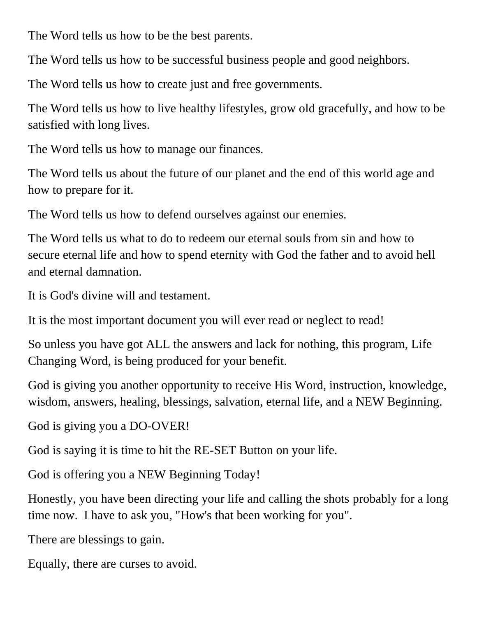The Word tells us how to be the best parents.

The Word tells us how to be successful business people and good neighbors.

The Word tells us how to create just and free governments.

The Word tells us how to live healthy lifestyles, grow old gracefully, and how to be satisfied with long lives.

The Word tells us how to manage our finances.

The Word tells us about the future of our planet and the end of this world age and how to prepare for it.

The Word tells us how to defend ourselves against our enemies.

The Word tells us what to do to redeem our eternal souls from sin and how to secure eternal life and how to spend eternity with God the father and to avoid hell and eternal damnation.

It is God's divine will and testament.

It is the most important document you will ever read or neglect to read!

So unless you have got ALL the answers and lack for nothing, this program, Life Changing Word, is being produced for your benefit.

God is giving you another opportunity to receive His Word, instruction, knowledge, wisdom, answers, healing, blessings, salvation, eternal life, and a NEW Beginning.

God is giving you a DO-OVER!

God is saying it is time to hit the RE-SET Button on your life.

God is offering you a NEW Beginning Today!

Honestly, you have been directing your life and calling the shots probably for a long time now. I have to ask you, "How's that been working for you".

There are blessings to gain.

Equally, there are curses to avoid.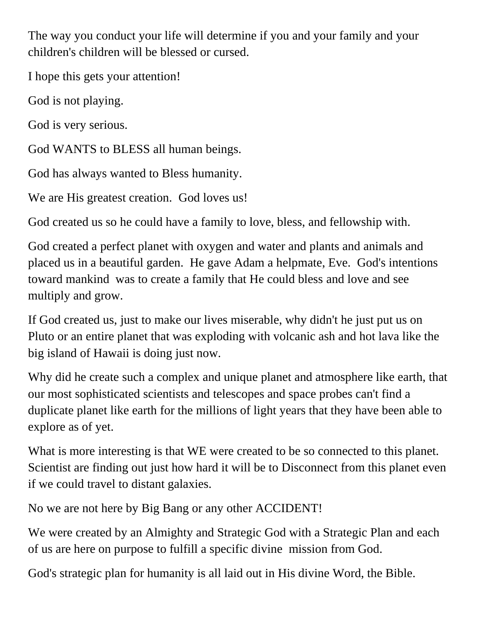The way you conduct your life will determine if you and your family and your children's children will be blessed or cursed.

I hope this gets your attention!

God is not playing.

God is very serious.

God WANTS to BLESS all human beings.

God has always wanted to Bless humanity.

We are His greatest creation. God loves us!

God created us so he could have a family to love, bless, and fellowship with.

God created a perfect planet with oxygen and water and plants and animals and placed us in a beautiful garden. He gave Adam a helpmate, Eve. God's intentions toward mankind was to create a family that He could bless and love and see multiply and grow.

If God created us, just to make our lives miserable, why didn't he just put us on Pluto or an entire planet that was exploding with volcanic ash and hot lava like the big island of Hawaii is doing just now.

Why did he create such a complex and unique planet and atmosphere like earth, that our most sophisticated scientists and telescopes and space probes can't find a duplicate planet like earth for the millions of light years that they have been able to explore as of yet.

What is more interesting is that WE were created to be so connected to this planet. Scientist are finding out just how hard it will be to Disconnect from this planet even if we could travel to distant galaxies.

No we are not here by Big Bang or any other ACCIDENT!

We were created by an Almighty and Strategic God with a Strategic Plan and each of us are here on purpose to fulfill a specific divine mission from God.

God's strategic plan for humanity is all laid out in His divine Word, the Bible.